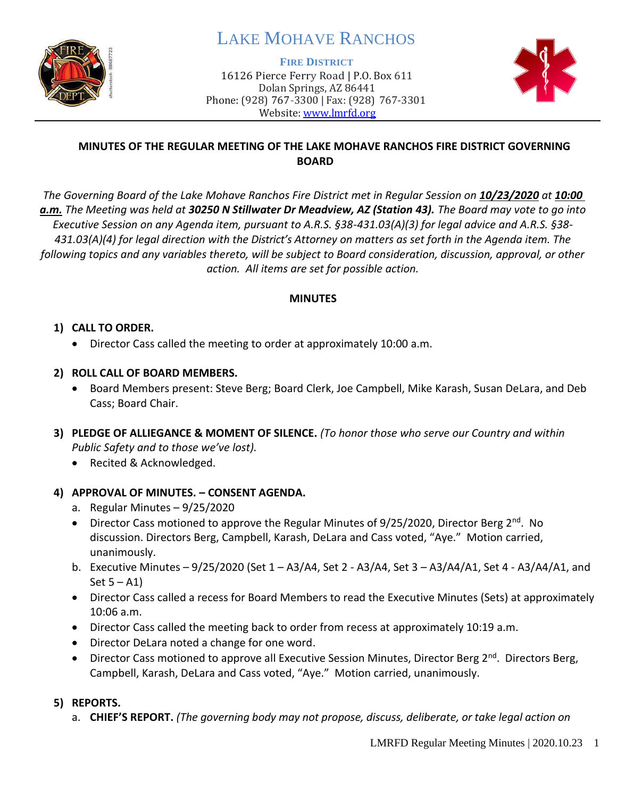

# LAKE MOHAVE RANCHOS

**FIRE DISTRICT**

16126 Pierce Ferry Road | P.O. Box 611 Dolan Springs, AZ 86441 Phone: (928) 767-3300 | Fax: (928) 767-3301 Website: [www.lmrfd.org](http://www.lmrfd.org/)



## **MINUTES OF THE REGULAR MEETING OF THE LAKE MOHAVE RANCHOS FIRE DISTRICT GOVERNING BOARD**

*The Governing Board of the Lake Mohave Ranchos Fire District met in Regular Session on 10/23/2020 at 10:00 a.m. The Meeting was held at 30250 N Stillwater Dr Meadview, AZ (Station 43). The Board may vote to go into Executive Session on any Agenda item, pursuant to A.R.S. §38-431.03(A)(3) for legal advice and A.R.S. §38- 431.03(A)(4) for legal direction with the District's Attorney on matters as set forth in the Agenda item. The following topics and any variables thereto, will be subject to Board consideration, discussion, approval, or other action. All items are set for possible action.* 

### **MINUTES**

## **1) CALL TO ORDER.**

• Director Cass called the meeting to order at approximately 10:00 a.m.

## **2) ROLL CALL OF BOARD MEMBERS.**

- Board Members present: Steve Berg; Board Clerk, Joe Campbell, Mike Karash, Susan DeLara, and Deb Cass; Board Chair.
- **3) PLEDGE OF ALLIEGANCE & MOMENT OF SILENCE.** *(To honor those who serve our Country and within Public Safety and to those we've lost).*
	- Recited & Acknowledged.

## **4) APPROVAL OF MINUTES. – CONSENT AGENDA.**

- a. Regular Minutes 9/25/2020
- Director Cass motioned to approve the Regular Minutes of  $9/25/2020$ , Director Berg  $2<sup>nd</sup>$ . No discussion. Directors Berg, Campbell, Karash, DeLara and Cass voted, "Aye." Motion carried, unanimously.
- b. Executive Minutes 9/25/2020 (Set 1 A3/A4, Set 2 A3/A4, Set 3 A3/A4/A1, Set 4 A3/A4/A1, and Set  $5 - A1$ )
- Director Cass called a recess for Board Members to read the Executive Minutes (Sets) at approximately 10:06 a.m.
- Director Cass called the meeting back to order from recess at approximately 10:19 a.m.
- Director DeLara noted a change for one word.
- Director Cass motioned to approve all Executive Session Minutes, Director Berg  $2^{nd}$ . Directors Berg, Campbell, Karash, DeLara and Cass voted, "Aye." Motion carried, unanimously.

## **5) REPORTS.**

a. **CHIEF'S REPORT.** *(The governing body may not propose, discuss, deliberate, or take legal action on*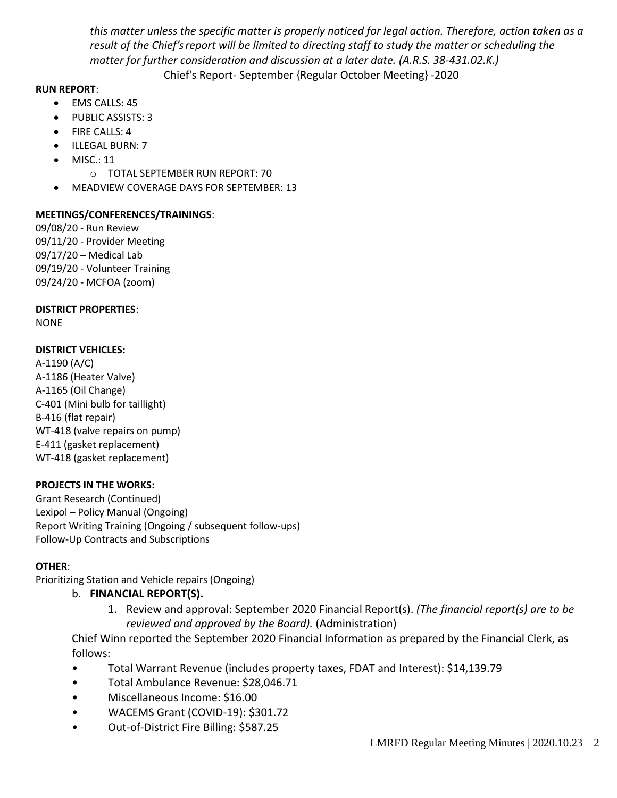*this matter unless the specific matter is properly noticed for legal action. Therefore, action taken as a result of the Chief's report will be limited to directing staff to study the matter or scheduling the matter for further consideration and discussion at a later date. (A.R.S. 38-431.02.K.)* Chief's Report- September {Regular October Meeting} -2020

#### **RUN REPORT**:

- EMS CALLS: 45
- PUBLIC ASSISTS: 3
- FIRE CALLS: 4
- ILLEGAL BURN: 7
- MISC.: 11
	- o TOTAL SEPTEMBER RUN REPORT: 70
- MEADVIEW COVERAGE DAYS FOR SEPTEMBER: 13

#### **MEETINGS/CONFERENCES/TRAININGS**:

09/08/20 - Run Review 09/11/20 - Provider Meeting 09/17/20 – Medical Lab 09/19/20 - Volunteer Training 09/24/20 - MCFOA (zoom)

#### **DISTRICT PROPERTIES**:

NONE

#### **DISTRICT VEHICLES:**

A-1190 (A/C) A-1186 (Heater Valve) A-1165 (Oil Change) C-401 (Mini bulb for taillight) B-416 (flat repair) WT-418 (valve repairs on pump) E-411 (gasket replacement) WT-418 (gasket replacement)

#### **PROJECTS IN THE WORKS:**

Grant Research (Continued) Lexipol – Policy Manual (Ongoing) Report Writing Training (Ongoing / subsequent follow-ups) Follow-Up Contracts and Subscriptions

#### **OTHER**:

Prioritizing Station and Vehicle repairs (Ongoing)

#### b. **FINANCIAL REPORT(S).**

1. Review and approval: September 2020 Financial Report(s). *(The financial report(s) are to be reviewed and approved by the Board).* (Administration)

Chief Winn reported the September 2020 Financial Information as prepared by the Financial Clerk, as follows:

- Total Warrant Revenue (includes property taxes, FDAT and Interest): \$14,139.79
- Total Ambulance Revenue: \$28,046.71
- Miscellaneous Income: \$16.00
- WACEMS Grant (COVID-19): \$301.72
- Out-of-District Fire Billing: \$587.25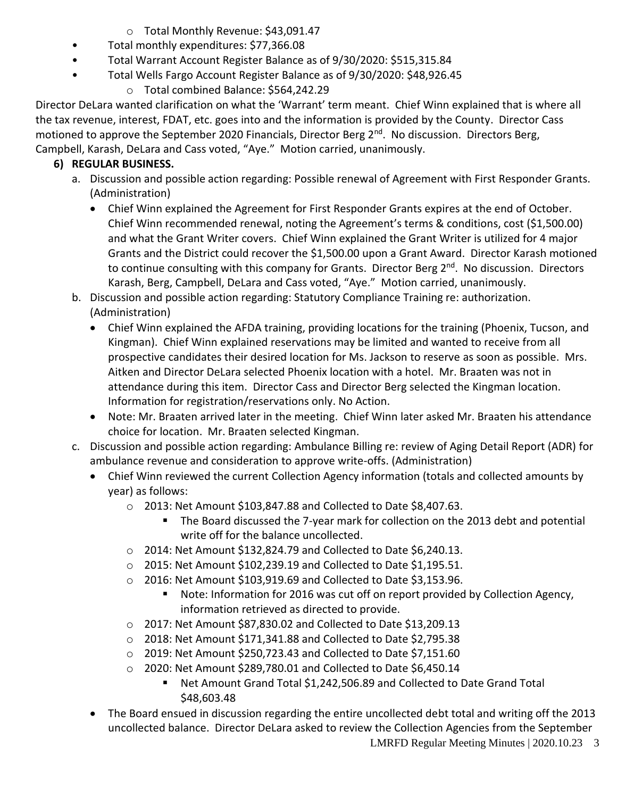- o Total Monthly Revenue: \$43,091.47
- Total monthly expenditures: \$77,366.08
- Total Warrant Account Register Balance as of 9/30/2020: \$515,315.84
- Total Wells Fargo Account Register Balance as of 9/30/2020: \$48,926.45
	- o Total combined Balance: \$564,242.29

Director DeLara wanted clarification on what the 'Warrant' term meant. Chief Winn explained that is where all the tax revenue, interest, FDAT, etc. goes into and the information is provided by the County. Director Cass motioned to approve the September 2020 Financials, Director Berg 2<sup>nd</sup>. No discussion. Directors Berg, Campbell, Karash, DeLara and Cass voted, "Aye." Motion carried, unanimously.

# **6) REGULAR BUSINESS.**

- a. Discussion and possible action regarding: Possible renewal of Agreement with First Responder Grants. (Administration)
	- Chief Winn explained the Agreement for First Responder Grants expires at the end of October. Chief Winn recommended renewal, noting the Agreement's terms & conditions, cost (\$1,500.00) and what the Grant Writer covers. Chief Winn explained the Grant Writer is utilized for 4 major Grants and the District could recover the \$1,500.00 upon a Grant Award. Director Karash motioned to continue consulting with this company for Grants. Director Berg 2<sup>nd</sup>. No discussion. Directors Karash, Berg, Campbell, DeLara and Cass voted, "Aye." Motion carried, unanimously.
- b. Discussion and possible action regarding: Statutory Compliance Training re: authorization. (Administration)
	- Chief Winn explained the AFDA training, providing locations for the training (Phoenix, Tucson, and Kingman). Chief Winn explained reservations may be limited and wanted to receive from all prospective candidates their desired location for Ms. Jackson to reserve as soon as possible. Mrs. Aitken and Director DeLara selected Phoenix location with a hotel. Mr. Braaten was not in attendance during this item. Director Cass and Director Berg selected the Kingman location. Information for registration/reservations only. No Action.
	- Note: Mr. Braaten arrived later in the meeting. Chief Winn later asked Mr. Braaten his attendance choice for location. Mr. Braaten selected Kingman.
- c. Discussion and possible action regarding: Ambulance Billing re: review of Aging Detail Report (ADR) for ambulance revenue and consideration to approve write-offs. (Administration)
	- Chief Winn reviewed the current Collection Agency information (totals and collected amounts by year) as follows:
		- o 2013: Net Amount \$103,847.88 and Collected to Date \$8,407.63.
			- The Board discussed the 7-year mark for collection on the 2013 debt and potential write off for the balance uncollected.
		- o 2014: Net Amount \$132,824.79 and Collected to Date \$6,240.13.
		- o 2015: Net Amount \$102,239.19 and Collected to Date \$1,195.51.
		- o 2016: Net Amount \$103,919.69 and Collected to Date \$3,153.96.
			- Note: Information for 2016 was cut off on report provided by Collection Agency, information retrieved as directed to provide.
		- o 2017: Net Amount \$87,830.02 and Collected to Date \$13,209.13
		- o 2018: Net Amount \$171,341.88 and Collected to Date \$2,795.38
		- o 2019: Net Amount \$250,723.43 and Collected to Date \$7,151.60
		- o 2020: Net Amount \$289,780.01 and Collected to Date \$6,450.14
			- Net Amount Grand Total \$1,242,506.89 and Collected to Date Grand Total \$48,603.48
	- LMRFD Regular Meeting Minutes | 2020.10.23 3 • The Board ensued in discussion regarding the entire uncollected debt total and writing off the 2013 uncollected balance. Director DeLara asked to review the Collection Agencies from the September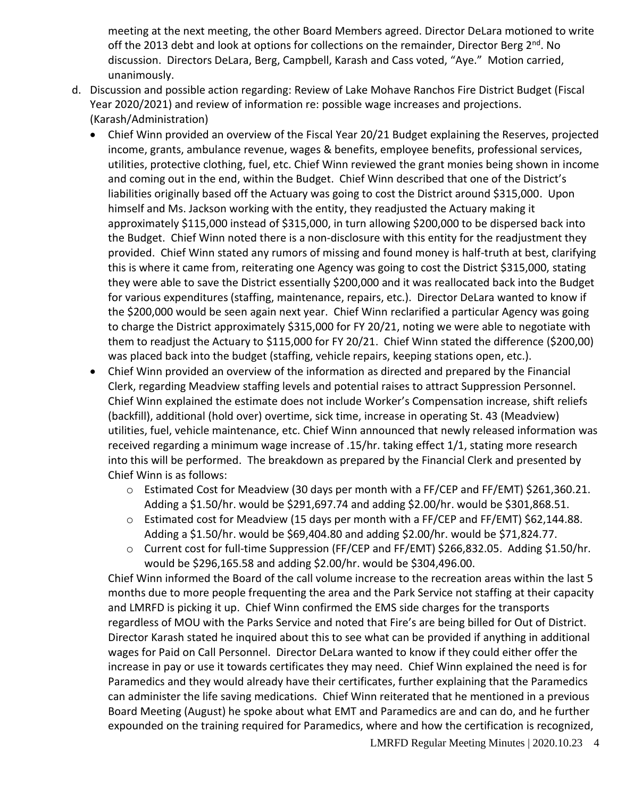meeting at the next meeting, the other Board Members agreed. Director DeLara motioned to write off the 2013 debt and look at options for collections on the remainder, Director Berg 2<sup>nd</sup>. No discussion. Directors DeLara, Berg, Campbell, Karash and Cass voted, "Aye." Motion carried, unanimously.

- d. Discussion and possible action regarding: Review of Lake Mohave Ranchos Fire District Budget (Fiscal Year 2020/2021) and review of information re: possible wage increases and projections. (Karash/Administration)
	- Chief Winn provided an overview of the Fiscal Year 20/21 Budget explaining the Reserves, projected income, grants, ambulance revenue, wages & benefits, employee benefits, professional services, utilities, protective clothing, fuel, etc. Chief Winn reviewed the grant monies being shown in income and coming out in the end, within the Budget. Chief Winn described that one of the District's liabilities originally based off the Actuary was going to cost the District around \$315,000. Upon himself and Ms. Jackson working with the entity, they readjusted the Actuary making it approximately \$115,000 instead of \$315,000, in turn allowing \$200,000 to be dispersed back into the Budget. Chief Winn noted there is a non-disclosure with this entity for the readjustment they provided. Chief Winn stated any rumors of missing and found money is half-truth at best, clarifying this is where it came from, reiterating one Agency was going to cost the District \$315,000, stating they were able to save the District essentially \$200,000 and it was reallocated back into the Budget for various expenditures (staffing, maintenance, repairs, etc.). Director DeLara wanted to know if the \$200,000 would be seen again next year. Chief Winn reclarified a particular Agency was going to charge the District approximately \$315,000 for FY 20/21, noting we were able to negotiate with them to readjust the Actuary to \$115,000 for FY 20/21. Chief Winn stated the difference (\$200,00) was placed back into the budget (staffing, vehicle repairs, keeping stations open, etc.).
	- Chief Winn provided an overview of the information as directed and prepared by the Financial Clerk, regarding Meadview staffing levels and potential raises to attract Suppression Personnel. Chief Winn explained the estimate does not include Worker's Compensation increase, shift reliefs (backfill), additional (hold over) overtime, sick time, increase in operating St. 43 (Meadview) utilities, fuel, vehicle maintenance, etc. Chief Winn announced that newly released information was received regarding a minimum wage increase of .15/hr. taking effect 1/1, stating more research into this will be performed. The breakdown as prepared by the Financial Clerk and presented by Chief Winn is as follows:
		- o Estimated Cost for Meadview (30 days per month with a FF/CEP and FF/EMT) \$261,360.21. Adding a \$1.50/hr. would be \$291,697.74 and adding \$2.00/hr. would be \$301,868.51.
		- o Estimated cost for Meadview (15 days per month with a FF/CEP and FF/EMT) \$62,144.88. Adding a \$1.50/hr. would be \$69,404.80 and adding \$2.00/hr. would be \$71,824.77.
		- o Current cost for full-time Suppression (FF/CEP and FF/EMT) \$266,832.05. Adding \$1.50/hr. would be \$296,165.58 and adding \$2.00/hr. would be \$304,496.00.

Chief Winn informed the Board of the call volume increase to the recreation areas within the last 5 months due to more people frequenting the area and the Park Service not staffing at their capacity and LMRFD is picking it up. Chief Winn confirmed the EMS side charges for the transports regardless of MOU with the Parks Service and noted that Fire's are being billed for Out of District. Director Karash stated he inquired about this to see what can be provided if anything in additional wages for Paid on Call Personnel. Director DeLara wanted to know if they could either offer the increase in pay or use it towards certificates they may need. Chief Winn explained the need is for Paramedics and they would already have their certificates, further explaining that the Paramedics can administer the life saving medications. Chief Winn reiterated that he mentioned in a previous Board Meeting (August) he spoke about what EMT and Paramedics are and can do, and he further expounded on the training required for Paramedics, where and how the certification is recognized,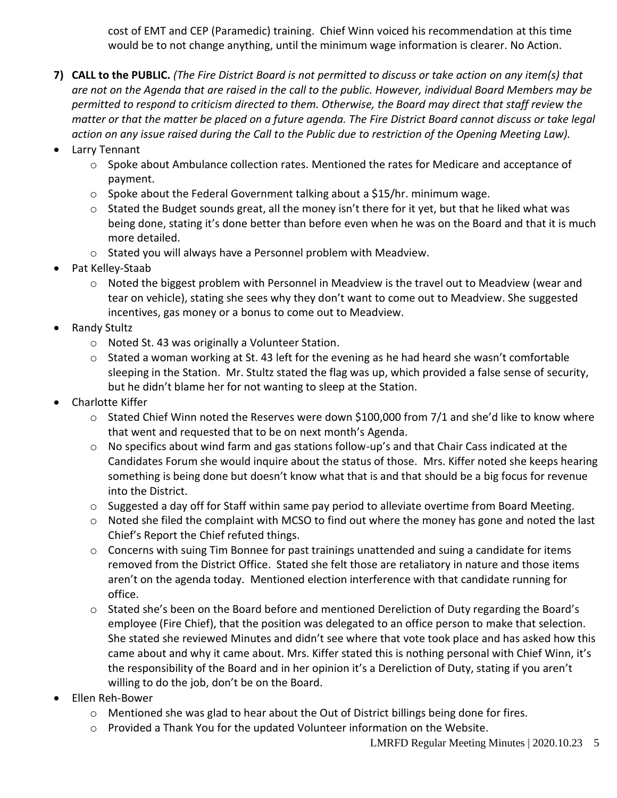cost of EMT and CEP (Paramedic) training. Chief Winn voiced his recommendation at this time would be to not change anything, until the minimum wage information is clearer. No Action.

- **7) CALL to the PUBLIC.** *(The Fire District Board is not permitted to discuss or take action on any item(s) that are not on the Agenda that are raised in the call to the public. However, individual Board Members may be permitted to respond to criticism directed to them. Otherwise, the Board may direct that staff review the matter or that the matter be placed on a future agenda. The Fire District Board cannot discuss or take legal action on any issue raised during the Call to the Public due to restriction of the Opening Meeting Law).*
- Larry Tennant
	- $\circ$  Spoke about Ambulance collection rates. Mentioned the rates for Medicare and acceptance of payment.
	- $\circ$  Spoke about the Federal Government talking about a \$15/hr. minimum wage.
	- $\circ$  Stated the Budget sounds great, all the money isn't there for it yet, but that he liked what was being done, stating it's done better than before even when he was on the Board and that it is much more detailed.
	- o Stated you will always have a Personnel problem with Meadview.
- Pat Kelley-Staab
	- $\circ$  Noted the biggest problem with Personnel in Meadview is the travel out to Meadview (wear and tear on vehicle), stating she sees why they don't want to come out to Meadview. She suggested incentives, gas money or a bonus to come out to Meadview.
- Randy Stultz
	- o Noted St. 43 was originally a Volunteer Station.
	- $\circ$  Stated a woman working at St. 43 left for the evening as he had heard she wasn't comfortable sleeping in the Station. Mr. Stultz stated the flag was up, which provided a false sense of security, but he didn't blame her for not wanting to sleep at the Station.
- Charlotte Kiffer
	- $\circ$  Stated Chief Winn noted the Reserves were down \$100,000 from 7/1 and she'd like to know where that went and requested that to be on next month's Agenda.
	- $\circ$  No specifics about wind farm and gas stations follow-up's and that Chair Cass indicated at the Candidates Forum she would inquire about the status of those. Mrs. Kiffer noted she keeps hearing something is being done but doesn't know what that is and that should be a big focus for revenue into the District.
	- $\circ$  Suggested a day off for Staff within same pay period to alleviate overtime from Board Meeting.
	- o Noted she filed the complaint with MCSO to find out where the money has gone and noted the last Chief's Report the Chief refuted things.
	- $\circ$  Concerns with suing Tim Bonnee for past trainings unattended and suing a candidate for items removed from the District Office. Stated she felt those are retaliatory in nature and those items aren't on the agenda today. Mentioned election interference with that candidate running for office.
	- o Stated she's been on the Board before and mentioned Dereliction of Duty regarding the Board's employee (Fire Chief), that the position was delegated to an office person to make that selection. She stated she reviewed Minutes and didn't see where that vote took place and has asked how this came about and why it came about. Mrs. Kiffer stated this is nothing personal with Chief Winn, it's the responsibility of the Board and in her opinion it's a Dereliction of Duty, stating if you aren't willing to do the job, don't be on the Board.
- Ellen Reh-Bower
	- $\circ$  Mentioned she was glad to hear about the Out of District billings being done for fires.
	- $\circ$  Provided a Thank You for the updated Volunteer information on the Website.